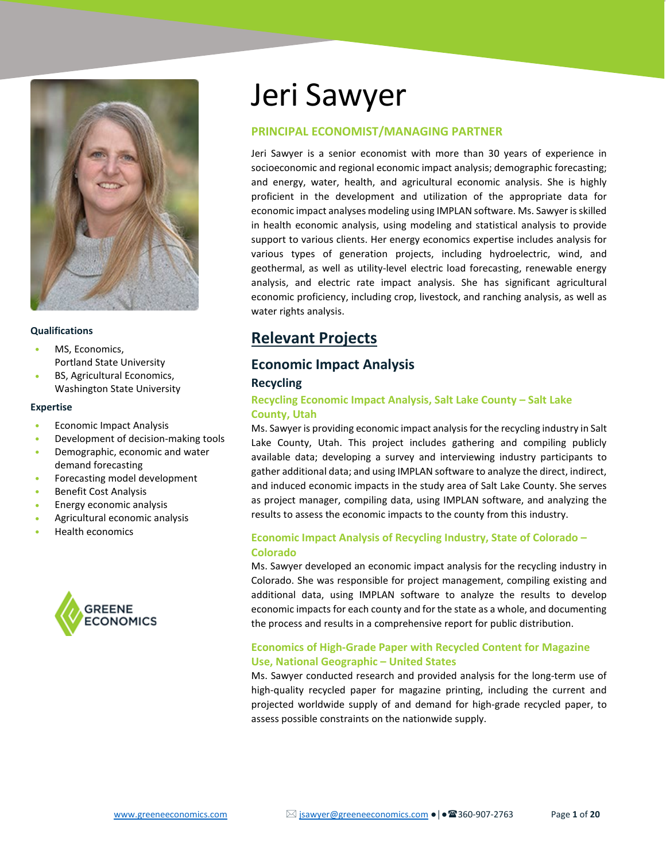

#### **Qualifications**

- MS, Economics, Portland State University
- BS, Agricultural Economics, Washington State University

#### **Expertise**

- Economic Impact Analysis
- Development of decision-making tools
- Demographic, economic and water demand forecasting
- Forecasting model development
- Benefit Cost Analysis
- Energy economic analysis
- Agricultural economic analysis
- Health economics



# Jeri Sawyer

## **PRINCIPAL ECONOMIST/MANAGING PARTNER**

Jeri Sawyer is a senior economist with more than 30 years of experience in socioeconomic and regional economic impact analysis; demographic forecasting; and energy, water, health, and agricultural economic analysis. She is highly proficient in the development and utilization of the appropriate data for economic impact analyses modeling using IMPLAN software. Ms. Sawyer is skilled in health economic analysis, using modeling and statistical analysis to provide support to various clients. Her energy economics expertise includes analysis for various types of generation projects, including hydroelectric, wind, and geothermal, as well as utility-level electric load forecasting, renewable energy analysis, and electric rate impact analysis. She has significant agricultural economic proficiency, including crop, livestock, and ranching analysis, as well as water rights analysis.

# **Relevant Projects**

# **Economic Impact Analysis**

## **Recycling**

## **Recycling Economic Impact Analysis, Salt Lake County – Salt Lake County, Utah**

Ms. Sawyer is providing economic impact analysis for the recycling industry in Salt Lake County, Utah. This project includes gathering and compiling publicly available data; developing a survey and interviewing industry participants to gather additional data; and using IMPLAN software to analyze the direct, indirect, and induced economic impacts in the study area of Salt Lake County. She serves as project manager, compiling data, using IMPLAN software, and analyzing the results to assess the economic impacts to the county from this industry.

## **Economic Impact Analysis of Recycling Industry, State of Colorado – Colorado**

Ms. Sawyer developed an economic impact analysis for the recycling industry in Colorado. She was responsible for project management, compiling existing and additional data, using IMPLAN software to analyze the results to develop economic impacts for each county and for the state as a whole, and documenting the process and results in a comprehensive report for public distribution.

## **Economics of High-Grade Paper with Recycled Content for Magazine Use, National Geographic – United States**

Ms. Sawyer conducted research and provided analysis for the long-term use of high-quality recycled paper for magazine printing, including the current and projected worldwide supply of and demand for high-grade recycled paper, to assess possible constraints on the nationwide supply.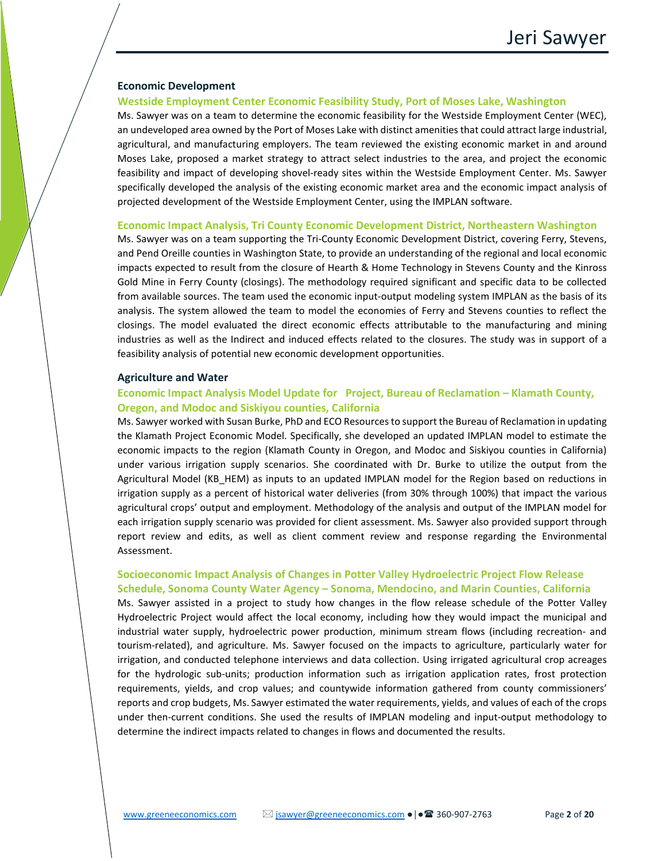#### **Economic Development**

#### **Westside Employment Center Economic Feasibility Study, Port of Moses Lake, Washington**

Ms. Sawyer was on a team to determine the economic feasibility for the Westside Employment Center (WEC), an undeveloped area owned by the Port of Moses Lake with distinct amenities that could attract large industrial, agricultural, and manufacturing employers. The team reviewed the existing economic market in and around Moses Lake, proposed a market strategy to attract select industries to the area, and project the economic feasibility and impact of developing shovel-ready sites within the Westside Employment Center. Ms. Sawyer specifically developed the analysis of the existing economic market area and the economic impact analysis of projected development of the Westside Employment Center, using the IMPLAN software.

#### **Economic Impact Analysis, Tri County Economic Development District, Northeastern Washington**

Ms. Sawyer was on a team supporting the Tri-County Economic Development District, covering Ferry, Stevens, and Pend Oreille counties in Washington State, to provide an understanding of the regional and local economic impacts expected to result from the closure of Hearth & Home Technology in Stevens County and the Kinross Gold Mine in Ferry County (closings). The methodology required significant and specific data to be collected from available sources. The team used the economic input-output modeling system IMPLAN as the basis of its analysis. The system allowed the team to model the economies of Ferry and Stevens counties to reflect the closings. The model evaluated the direct economic effects attributable to the manufacturing and mining industries as well as the Indirect and induced effects related to the closures. The study was in support of a feasibility analysis of potential new economic development opportunities.

#### **Agriculture and Water**

## **Economic Impact Analysis Model Update for Project, Bureau of Reclamation – Klamath County, Oregon, and Modoc and Siskiyou counties, California**

Ms. Sawyer worked with Susan Burke, PhD and ECO Resources to support the Bureau of Reclamation in updating the Klamath Project Economic Model. Specifically, she developed an updated IMPLAN model to estimate the economic impacts to the region (Klamath County in Oregon, and Modoc and Siskiyou counties in California) under various irrigation supply scenarios. She coordinated with Dr. Burke to utilize the output from the Agricultural Model (KB\_HEM) as inputs to an updated IMPLAN model for the Region based on reductions in irrigation supply as a percent of historical water deliveries (from 30% through 100%) that impact the various agricultural crops' output and employment. Methodology of the analysis and output of the IMPLAN model for each irrigation supply scenario was provided for client assessment. Ms. Sawyer also provided support through report review and edits, as well as client comment review and response regarding the Environmental Assessment.

## **Socioeconomic Impact Analysis of Changes in Potter Valley Hydroelectric Project Flow Release Schedule, Sonoma County Water Agency – Sonoma, Mendocino, and Marin Counties, California**

Ms. Sawyer assisted in a project to study how changes in the flow release schedule of the Potter Valley Hydroelectric Project would affect the local economy, including how they would impact the municipal and industrial water supply, hydroelectric power production, minimum stream flows (including recreation- and tourism-related), and agriculture. Ms. Sawyer focused on the impacts to agriculture, particularly water for irrigation, and conducted telephone interviews and data collection. Using irrigated agricultural crop acreages for the hydrologic sub-units; production information such as irrigation application rates, frost protection requirements, yields, and crop values; and countywide information gathered from county commissioners' reports and crop budgets, Ms. Sawyer estimated the water requirements, yields, and values of each of the crops under then-current conditions. She used the results of IMPLAN modeling and input-output methodology to determine the indirect impacts related to changes in flows and documented the results.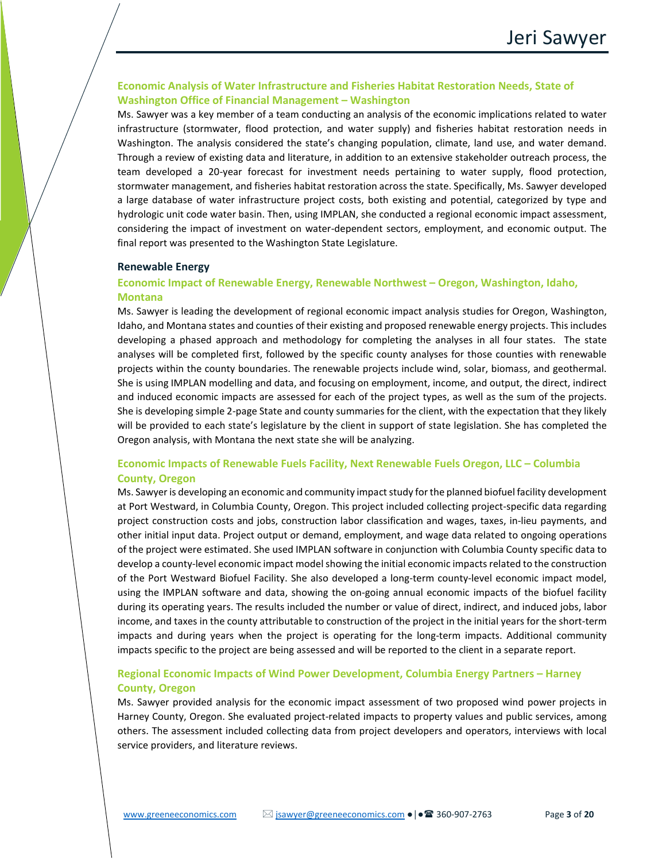## **Economic Analysis of Water Infrastructure and Fisheries Habitat Restoration Needs, State of Washington Office of Financial Management – Washington**

Ms. Sawyer was a key member of a team conducting an analysis of the economic implications related to water infrastructure (stormwater, flood protection, and water supply) and fisheries habitat restoration needs in Washington. The analysis considered the state's changing population, climate, land use, and water demand. Through a review of existing data and literature, in addition to an extensive stakeholder outreach process, the team developed a 20-year forecast for investment needs pertaining to water supply, flood protection, stormwater management, and fisheries habitat restoration across the state. Specifically, Ms. Sawyer developed a large database of water infrastructure project costs, both existing and potential, categorized by type and hydrologic unit code water basin. Then, using IMPLAN, she conducted a regional economic impact assessment, considering the impact of investment on water-dependent sectors, employment, and economic output. The final report was presented to the Washington State Legislature.

#### **Renewable Energy**

## **Economic Impact of Renewable Energy, Renewable Northwest – Oregon, Washington, Idaho, Montana**

Ms. Sawyer is leading the development of regional economic impact analysis studies for Oregon, Washington, Idaho, and Montana states and counties of their existing and proposed renewable energy projects. This includes developing a phased approach and methodology for completing the analyses in all four states. The state analyses will be completed first, followed by the specific county analyses for those counties with renewable projects within the county boundaries. The renewable projects include wind, solar, biomass, and geothermal. She is using IMPLAN modelling and data, and focusing on employment, income, and output, the direct, indirect and induced economic impacts are assessed for each of the project types, as well as the sum of the projects. She is developing simple 2-page State and county summaries for the client, with the expectation that they likely will be provided to each state's legislature by the client in support of state legislation. She has completed the Oregon analysis, with Montana the next state she will be analyzing.

## **Economic Impacts of Renewable Fuels Facility, Next Renewable Fuels Oregon, LLC – Columbia County, Oregon**

Ms. Sawyer is developing an economic and community impact study for the planned biofuel facility development at Port Westward, in Columbia County, Oregon. This project included collecting project-specific data regarding project construction costs and jobs, construction labor classification and wages, taxes, in-lieu payments, and other initial input data. Project output or demand, employment, and wage data related to ongoing operations of the project were estimated. She used IMPLAN software in conjunction with Columbia County specific data to develop a county-level economic impact model showing the initial economic impacts related to the construction of the Port Westward Biofuel Facility. She also developed a long-term county-level economic impact model, using the IMPLAN software and data, showing the on-going annual economic impacts of the biofuel facility during its operating years. The results included the number or value of direct, indirect, and induced jobs, labor income, and taxes in the county attributable to construction of the project in the initial years for the short-term impacts and during years when the project is operating for the long-term impacts. Additional community impacts specific to the project are being assessed and will be reported to the client in a separate report.

## **Regional Economic Impacts of Wind Power Development, Columbia Energy Partners – Harney County, Oregon**

Ms. Sawyer provided analysis for the economic impact assessment of two proposed wind power projects in Harney County, Oregon. She evaluated project-related impacts to property values and public services, among others. The assessment included collecting data from project developers and operators, interviews with local service providers, and literature reviews.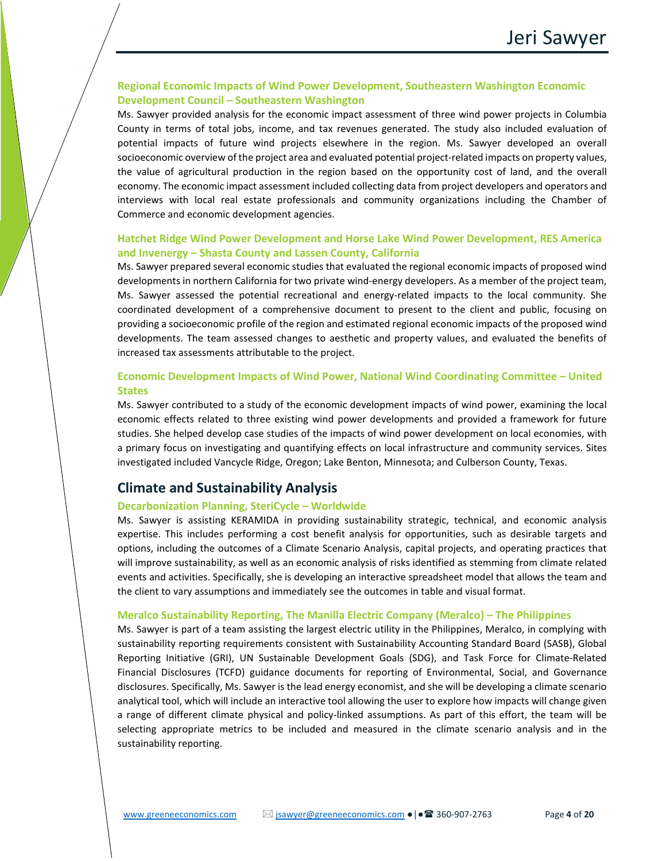## **Regional Economic Impacts of Wind Power Development, Southeastern Washington Economic Development Council – Southeastern Washington**

Ms. Sawyer provided analysis for the economic impact assessment of three wind power projects in Columbia County in terms of total jobs, income, and tax revenues generated. The study also included evaluation of potential impacts of future wind projects elsewhere in the region. Ms. Sawyer developed an overall socioeconomic overview of the project area and evaluated potential project-related impacts on property values, the value of agricultural production in the region based on the opportunity cost of land, and the overall economy. The economic impact assessment included collecting data from project developers and operators and interviews with local real estate professionals and community organizations including the Chamber of Commerce and economic development agencies.

## **Hatchet Ridge Wind Power Development and Horse Lake Wind Power Development, RES America and Invenergy – Shasta County and Lassen County, California**

Ms. Sawyer prepared several economic studies that evaluated the regional economic impacts of proposed wind developments in northern California for two private wind-energy developers. As a member of the project team, Ms. Sawyer assessed the potential recreational and energy-related impacts to the local community. She coordinated development of a comprehensive document to present to the client and public, focusing on providing a socioeconomic profile of the region and estimated regional economic impacts of the proposed wind developments. The team assessed changes to aesthetic and property values, and evaluated the benefits of increased tax assessments attributable to the project.

## **Economic Development Impacts of Wind Power, National Wind Coordinating Committee – United States**

Ms. Sawyer contributed to a study of the economic development impacts of wind power, examining the local economic effects related to three existing wind power developments and provided a framework for future studies. She helped develop case studies of the impacts of wind power development on local economies, with a primary focus on investigating and quantifying effects on local infrastructure and community services. Sites investigated included Vancycle Ridge, Oregon; Lake Benton, Minnesota; and Culberson County, Texas.

# **Climate and Sustainability Analysis**

## **Decarbonization Planning, SteriCycle – Worldwide**

Ms. Sawyer is assisting KERAMIDA in providing sustainability strategic, technical, and economic analysis expertise. This includes performing a cost benefit analysis for opportunities, such as desirable targets and options, including the outcomes of a Climate Scenario Analysis, capital projects, and operating practices that will improve sustainability, as well as an economic analysis of risks identified as stemming from climate related events and activities. Specifically, she is developing an interactive spreadsheet model that allows the team and the client to vary assumptions and immediately see the outcomes in table and visual format.

#### **Meralco Sustainability Reporting, The Manilla Electric Company (Meralco) – The Philippines**

Ms. Sawyer is part of a team assisting the largest electric utility in the Philippines, Meralco, in complying with sustainability reporting requirements consistent with Sustainability Accounting Standard Board (SASB), Global Reporting Initiative (GRI), UN Sustainable Development Goals (SDG), and Task Force for Climate-Related Financial Disclosures (TCFD) guidance documents for reporting of Environmental, Social, and Governance disclosures. Specifically, Ms. Sawyer is the lead energy economist, and she will be developing a climate scenario analytical tool, which will include an interactive tool allowing the user to explore how impacts will change given a range of different climate physical and policy-linked assumptions. As part of this effort, the team will be selecting appropriate metrics to be included and measured in the climate scenario analysis and in the sustainability reporting.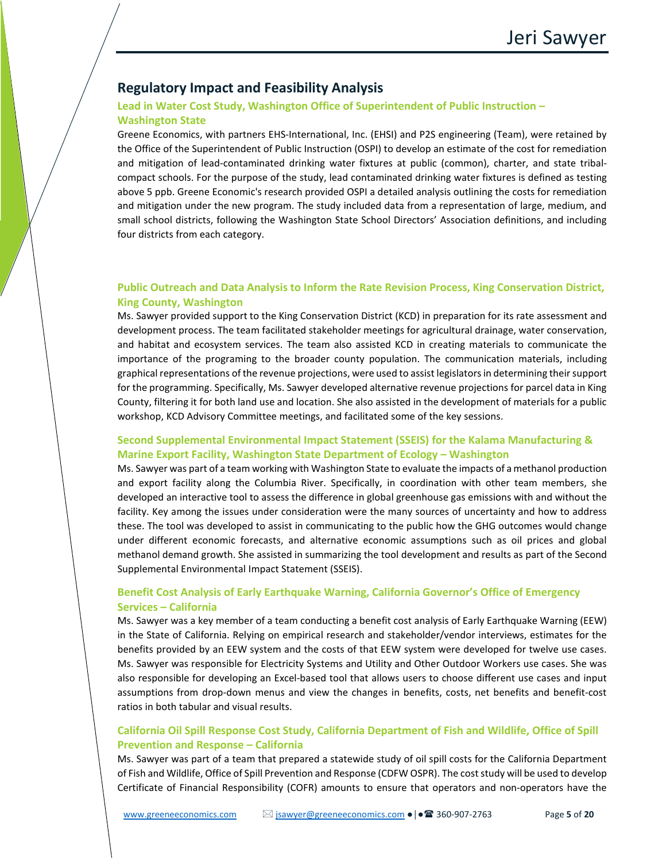# **Regulatory Impact and Feasibility Analysis**

## **Lead in Water Cost Study, Washington Office of Superintendent of Public Instruction – Washington State**

Greene Economics, with partners EHS-International, Inc. (EHSI) and P2S engineering (Team), were retained by the Office of the Superintendent of Public Instruction (OSPI) to develop an estimate of the cost for remediation and mitigation of lead-contaminated drinking water fixtures at public (common), charter, and state tribalcompact schools. For the purpose of the study, lead contaminated drinking water fixtures is defined as testing above 5 ppb. Greene Economic's research provided OSPI a detailed analysis outlining the costs for remediation and mitigation under the new program. The study included data from a representation of large, medium, and small school districts, following the Washington State School Directors' Association definitions, and including four districts from each category.

## **Public Outreach and Data Analysis to Inform the Rate Revision Process, King Conservation District, King County, Washington**

Ms. Sawyer provided support to the King Conservation District (KCD) in preparation for its rate assessment and development process. The team facilitated stakeholder meetings for agricultural drainage, water conservation, and habitat and ecosystem services. The team also assisted KCD in creating materials to communicate the importance of the programing to the broader county population. The communication materials, including graphical representations of the revenue projections, were used to assist legislators in determining their support for the programming. Specifically, Ms. Sawyer developed alternative revenue projections for parcel data in King County, filtering it for both land use and location. She also assisted in the development of materials for a public workshop, KCD Advisory Committee meetings, and facilitated some of the key sessions.

## **Second Supplemental Environmental Impact Statement (SSEIS) for the Kalama Manufacturing & Marine Export Facility, Washington State Department of Ecology – Washington**

Ms. Sawyer was part of a team working with Washington State to evaluate the impacts of a methanol production and export facility along the Columbia River. Specifically, in coordination with other team members, she developed an interactive tool to assess the difference in global greenhouse gas emissions with and without the facility. Key among the issues under consideration were the many sources of uncertainty and how to address these. The tool was developed to assist in communicating to the public how the GHG outcomes would change under different economic forecasts, and alternative economic assumptions such as oil prices and global methanol demand growth. She assisted in summarizing the tool development and results as part of the Second Supplemental Environmental Impact Statement (SSEIS).

## **Benefit Cost Analysis of Early Earthquake Warning, California Governor's Office of Emergency Services – California**

Ms. Sawyer was a key member of a team conducting a benefit cost analysis of Early Earthquake Warning (EEW) in the State of California. Relying on empirical research and stakeholder/vendor interviews, estimates for the benefits provided by an EEW system and the costs of that EEW system were developed for twelve use cases. Ms. Sawyer was responsible for Electricity Systems and Utility and Other Outdoor Workers use cases. She was also responsible for developing an Excel-based tool that allows users to choose different use cases and input assumptions from drop-down menus and view the changes in benefits, costs, net benefits and benefit-cost ratios in both tabular and visual results.

## **California Oil Spill Response Cost Study, California Department of Fish and Wildlife, Office of Spill Prevention and Response – California**

Ms. Sawyer was part of a team that prepared a statewide study of oil spill costs for the California Department of Fish and Wildlife, Office of Spill Prevention and Response (CDFW OSPR). The cost study will be used to develop Certificate of Financial Responsibility (COFR) amounts to ensure that operators and non-operators have the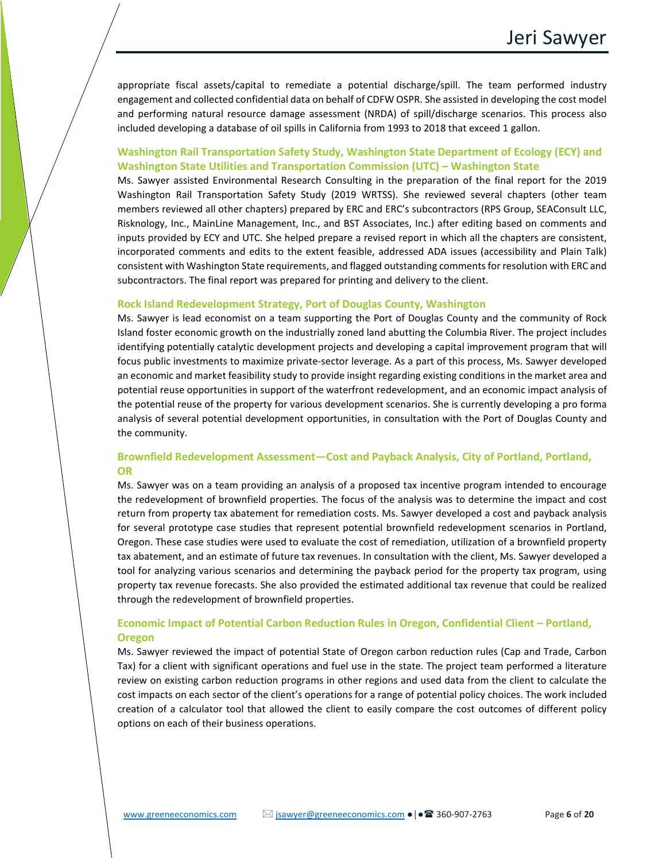appropriate fiscal assets/capital to remediate a potential discharge/spill. The team performed industry engagement and collected confidential data on behalf of CDFW OSPR. She assisted in developing the cost model and performing natural resource damage assessment (NRDA) of spill/discharge scenarios. This process also included developing a database of oil spills in California from 1993 to 2018 that exceed 1 gallon.

## **Washington Rail Transportation Safety Study, Washington State Department of Ecology (ECY) and Washington State Utilities and Transportation Commission (UTC) – Washington State**

Ms. Sawyer assisted Environmental Research Consulting in the preparation of the final report for the 2019 Washington Rail Transportation Safety Study (2019 WRTSS). She reviewed several chapters (other team members reviewed all other chapters) prepared by ERC and ERC's subcontractors (RPS Group, SEAConsult LLC, Risknology, Inc., MainLine Management, Inc., and BST Associates, Inc.) after editing based on comments and inputs provided by ECY and UTC. She helped prepare a revised report in which all the chapters are consistent, incorporated comments and edits to the extent feasible, addressed ADA issues (accessibility and Plain Talk) consistent with Washington State requirements, and flagged outstanding comments for resolution with ERC and subcontractors. The final report was prepared for printing and delivery to the client.

#### **Rock Island Redevelopment Strategy, Port of Douglas County, Washington**

Ms. Sawyer is lead economist on a team supporting the Port of Douglas County and the community of Rock Island foster economic growth on the industrially zoned land abutting the Columbia River. The project includes identifying potentially catalytic development projects and developing a capital improvement program that will focus public investments to maximize private-sector leverage. As a part of this process, Ms. Sawyer developed an economic and market feasibility study to provide insight regarding existing conditions in the market area and potential reuse opportunities in support of the waterfront redevelopment, and an economic impact analysis of the potential reuse of the property for various development scenarios. She is currently developing a pro forma analysis of several potential development opportunities, in consultation with the Port of Douglas County and the community.

## **Brownfield Redevelopment Assessment—Cost and Payback Analysis, City of Portland, Portland, OR**

Ms. Sawyer was on a team providing an analysis of a proposed tax incentive program intended to encourage the redevelopment of brownfield properties. The focus of the analysis was to determine the impact and cost return from property tax abatement for remediation costs. Ms. Sawyer developed a cost and payback analysis for several prototype case studies that represent potential brownfield redevelopment scenarios in Portland, Oregon. These case studies were used to evaluate the cost of remediation, utilization of a brownfield property tax abatement, and an estimate of future tax revenues. In consultation with the client, Ms. Sawyer developed a tool for analyzing various scenarios and determining the payback period for the property tax program, using property tax revenue forecasts. She also provided the estimated additional tax revenue that could be realized through the redevelopment of brownfield properties.

## **Economic Impact of Potential Carbon Reduction Rules in Oregon, Confidential Client – Portland, Oregon**

Ms. Sawyer reviewed the impact of potential State of Oregon carbon reduction rules (Cap and Trade, Carbon Tax) for a client with significant operations and fuel use in the state. The project team performed a literature review on existing carbon reduction programs in other regions and used data from the client to calculate the cost impacts on each sector of the client's operations for a range of potential policy choices. The work included creation of a calculator tool that allowed the client to easily compare the cost outcomes of different policy options on each of their business operations.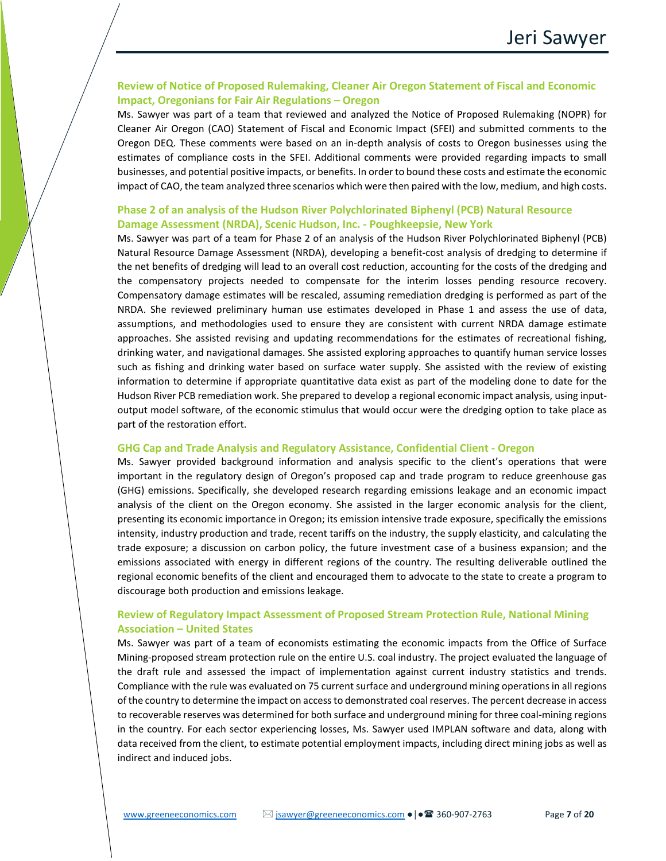## **Review of Notice of Proposed Rulemaking, Cleaner Air Oregon Statement of Fiscal and Economic Impact, Oregonians for Fair Air Regulations – Oregon**

Ms. Sawyer was part of a team that reviewed and analyzed the Notice of Proposed Rulemaking (NOPR) for Cleaner Air Oregon (CAO) Statement of Fiscal and Economic Impact (SFEI) and submitted comments to the Oregon DEQ. These comments were based on an in-depth analysis of costs to Oregon businesses using the estimates of compliance costs in the SFEI. Additional comments were provided regarding impacts to small businesses, and potential positive impacts, or benefits. In order to bound these costs and estimate the economic impact of CAO, the team analyzed three scenarios which were then paired with the low, medium, and high costs.

## **Phase 2 of an analysis of the Hudson River Polychlorinated Biphenyl (PCB) Natural Resource Damage Assessment (NRDA), Scenic Hudson, Inc. - Poughkeepsie, New York**

Ms. Sawyer was part of a team for Phase 2 of an analysis of the Hudson River Polychlorinated Biphenyl (PCB) Natural Resource Damage Assessment (NRDA), developing a benefit-cost analysis of dredging to determine if the net benefits of dredging will lead to an overall cost reduction, accounting for the costs of the dredging and the compensatory projects needed to compensate for the interim losses pending resource recovery. Compensatory damage estimates will be rescaled, assuming remediation dredging is performed as part of the NRDA. She reviewed preliminary human use estimates developed in Phase 1 and assess the use of data, assumptions, and methodologies used to ensure they are consistent with current NRDA damage estimate approaches. She assisted revising and updating recommendations for the estimates of recreational fishing, drinking water, and navigational damages. She assisted exploring approaches to quantify human service losses such as fishing and drinking water based on surface water supply. She assisted with the review of existing information to determine if appropriate quantitative data exist as part of the modeling done to date for the Hudson River PCB remediation work. She prepared to develop a regional economic impact analysis, using inputoutput model software, of the economic stimulus that would occur were the dredging option to take place as part of the restoration effort.

#### **GHG Cap and Trade Analysis and Regulatory Assistance, Confidential Client - Oregon**

Ms. Sawyer provided background information and analysis specific to the client's operations that were important in the regulatory design of Oregon's proposed cap and trade program to reduce greenhouse gas (GHG) emissions. Specifically, she developed research regarding emissions leakage and an economic impact analysis of the client on the Oregon economy. She assisted in the larger economic analysis for the client, presenting its economic importance in Oregon; its emission intensive trade exposure, specifically the emissions intensity, industry production and trade, recent tariffs on the industry, the supply elasticity, and calculating the trade exposure; a discussion on carbon policy, the future investment case of a business expansion; and the emissions associated with energy in different regions of the country. The resulting deliverable outlined the regional economic benefits of the client and encouraged them to advocate to the state to create a program to discourage both production and emissions leakage.

## **Review of Regulatory Impact Assessment of Proposed Stream Protection Rule, National Mining Association – United States**

Ms. Sawyer was part of a team of economists estimating the economic impacts from the Office of Surface Mining-proposed stream protection rule on the entire U.S. coal industry. The project evaluated the language of the draft rule and assessed the impact of implementation against current industry statistics and trends. Compliance with the rule was evaluated on 75 current surface and underground mining operations in all regions of the country to determine the impact on access to demonstrated coal reserves. The percent decrease in access to recoverable reserves was determined for both surface and underground mining for three coal-mining regions in the country. For each sector experiencing losses, Ms. Sawyer used IMPLAN software and data, along with data received from the client, to estimate potential employment impacts, including direct mining jobs as well as indirect and induced jobs.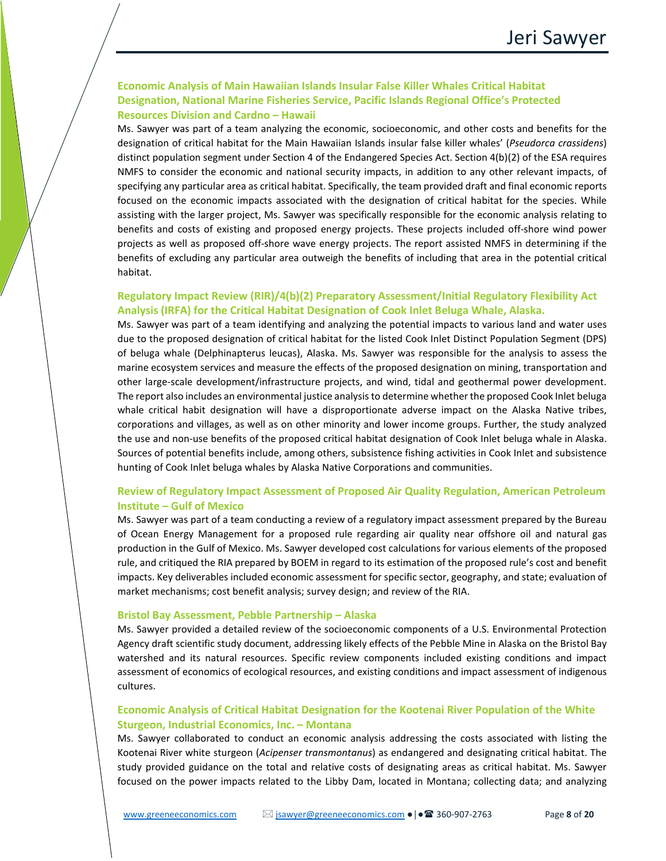## **Economic Analysis of Main Hawaiian Islands Insular False Killer Whales Critical Habitat Designation, National Marine Fisheries Service, Pacific Islands Regional Office's Protected Resources Division and Cardno – Hawaii**

Ms. Sawyer was part of a team analyzing the economic, socioeconomic, and other costs and benefits for the designation of critical habitat for the Main Hawaiian Islands insular false killer whales' (*Pseudorca crassidens*) distinct population segment under Section 4 of the Endangered Species Act. Section 4(b)(2) of the ESA requires NMFS to consider the economic and national security impacts, in addition to any other relevant impacts, of specifying any particular area as critical habitat. Specifically, the team provided draft and final economic reports focused on the economic impacts associated with the designation of critical habitat for the species. While assisting with the larger project, Ms. Sawyer was specifically responsible for the economic analysis relating to benefits and costs of existing and proposed energy projects. These projects included off-shore wind power projects as well as proposed off-shore wave energy projects. The report assisted NMFS in determining if the benefits of excluding any particular area outweigh the benefits of including that area in the potential critical habitat.

## **Regulatory Impact Review (RIR)/4(b)(2) Preparatory Assessment/Initial Regulatory Flexibility Act Analysis (IRFA) for the Critical Habitat Designation of Cook Inlet Beluga Whale, Alaska.**

Ms. Sawyer was part of a team identifying and analyzing the potential impacts to various land and water uses due to the proposed designation of critical habitat for the listed Cook Inlet Distinct Population Segment (DPS) of beluga whale (Delphinapterus leucas), Alaska. Ms. Sawyer was responsible for the analysis to assess the marine ecosystem services and measure the effects of the proposed designation on mining, transportation and other large-scale development/infrastructure projects, and wind, tidal and geothermal power development. The report also includes an environmental justice analysis to determine whether the proposed Cook Inlet beluga whale critical habit designation will have a disproportionate adverse impact on the Alaska Native tribes, corporations and villages, as well as on other minority and lower income groups. Further, the study analyzed the use and non-use benefits of the proposed critical habitat designation of Cook Inlet beluga whale in Alaska. Sources of potential benefits include, among others, subsistence fishing activities in Cook Inlet and subsistence hunting of Cook Inlet beluga whales by Alaska Native Corporations and communities.

## **Review of Regulatory Impact Assessment of Proposed Air Quality Regulation, American Petroleum Institute – Gulf of Mexico**

Ms. Sawyer was part of a team conducting a review of a regulatory impact assessment prepared by the Bureau of Ocean Energy Management for a proposed rule regarding air quality near offshore oil and natural gas production in the Gulf of Mexico. Ms. Sawyer developed cost calculations for various elements of the proposed rule, and critiqued the RIA prepared by BOEM in regard to its estimation of the proposed rule's cost and benefit impacts. Key deliverables included economic assessment for specific sector, geography, and state; evaluation of market mechanisms; cost benefit analysis; survey design; and review of the RIA.

#### **Bristol Bay Assessment, Pebble Partnership – Alaska**

Ms. Sawyer provided a detailed review of the socioeconomic components of a U.S. Environmental Protection Agency draft scientific study document, addressing likely effects of the Pebble Mine in Alaska on the Bristol Bay watershed and its natural resources. Specific review components included existing conditions and impact assessment of economics of ecological resources, and existing conditions and impact assessment of indigenous cultures.

## **Economic Analysis of Critical Habitat Designation for the Kootenai River Population of the White Sturgeon, Industrial Economics, Inc. – Montana**

Ms. Sawyer collaborated to conduct an economic analysis addressing the costs associated with listing the Kootenai River white sturgeon (*Acipenser transmontanus*) as endangered and designating critical habitat. The study provided guidance on the total and relative costs of designating areas as critical habitat. Ms. Sawyer focused on the power impacts related to the Libby Dam, located in Montana; collecting data; and analyzing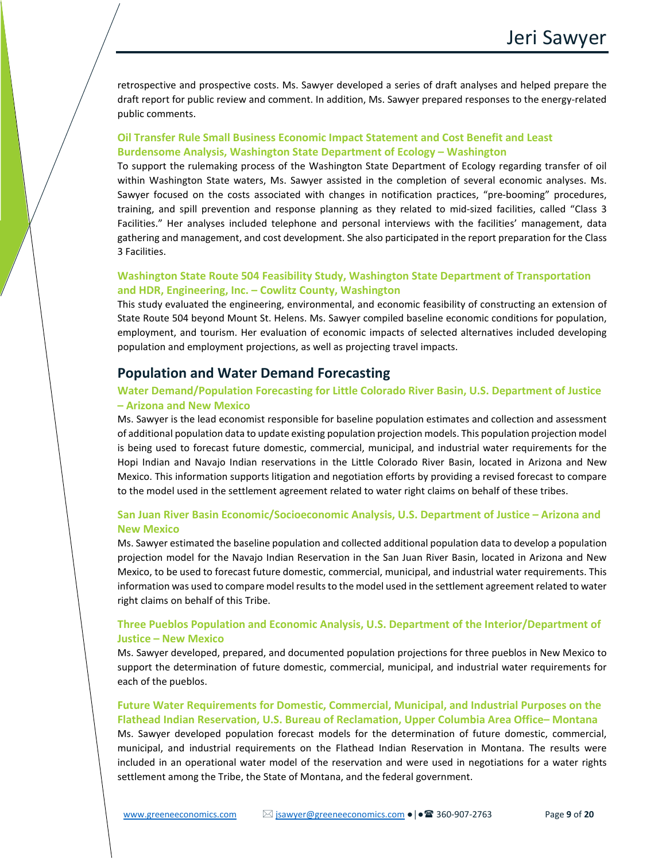retrospective and prospective costs. Ms. Sawyer developed a series of draft analyses and helped prepare the draft report for public review and comment. In addition, Ms. Sawyer prepared responses to the energy-related public comments.

## **Oil Transfer Rule Small Business Economic Impact Statement and Cost Benefit and Least Burdensome Analysis, Washington State Department of Ecology – Washington**

To support the rulemaking process of the Washington State Department of Ecology regarding transfer of oil within Washington State waters, Ms. Sawyer assisted in the completion of several economic analyses. Ms. Sawyer focused on the costs associated with changes in notification practices, "pre-booming" procedures, training, and spill prevention and response planning as they related to mid-sized facilities, called "Class 3 Facilities." Her analyses included telephone and personal interviews with the facilities' management, data gathering and management, and cost development. She also participated in the report preparation for the Class 3 Facilities.

## **Washington State Route 504 Feasibility Study, Washington State Department of Transportation and HDR, Engineering, Inc. – Cowlitz County, Washington**

This study evaluated the engineering, environmental, and economic feasibility of constructing an extension of State Route 504 beyond Mount St. Helens. Ms. Sawyer compiled baseline economic conditions for population, employment, and tourism. Her evaluation of economic impacts of selected alternatives included developing population and employment projections, as well as projecting travel impacts.

## **Population and Water Demand Forecasting**

## **Water Demand/Population Forecasting for Little Colorado River Basin, U.S. Department of Justice – Arizona and New Mexico**

Ms. Sawyer is the lead economist responsible for baseline population estimates and collection and assessment of additional population data to update existing population projection models. This population projection model is being used to forecast future domestic, commercial, municipal, and industrial water requirements for the Hopi Indian and Navajo Indian reservations in the Little Colorado River Basin, located in Arizona and New Mexico. This information supports litigation and negotiation efforts by providing a revised forecast to compare to the model used in the settlement agreement related to water right claims on behalf of these tribes.

## **San Juan River Basin Economic/Socioeconomic Analysis, U.S. Department of Justice – Arizona and New Mexico**

Ms. Sawyer estimated the baseline population and collected additional population data to develop a population projection model for the Navajo Indian Reservation in the San Juan River Basin, located in Arizona and New Mexico, to be used to forecast future domestic, commercial, municipal, and industrial water requirements. This information was used to compare model results to the model used in the settlement agreement related to water right claims on behalf of this Tribe.

## **Three Pueblos Population and Economic Analysis, U.S. Department of the Interior/Department of Justice – New Mexico**

Ms. Sawyer developed, prepared, and documented population projections for three pueblos in New Mexico to support the determination of future domestic, commercial, municipal, and industrial water requirements for each of the pueblos.

## **Future Water Requirements for Domestic, Commercial, Municipal, and Industrial Purposes on the Flathead Indian Reservation, U.S. Bureau of Reclamation, Upper Columbia Area Office– Montana**

Ms. Sawyer developed population forecast models for the determination of future domestic, commercial, municipal, and industrial requirements on the Flathead Indian Reservation in Montana. The results were included in an operational water model of the reservation and were used in negotiations for a water rights settlement among the Tribe, the State of Montana, and the federal government.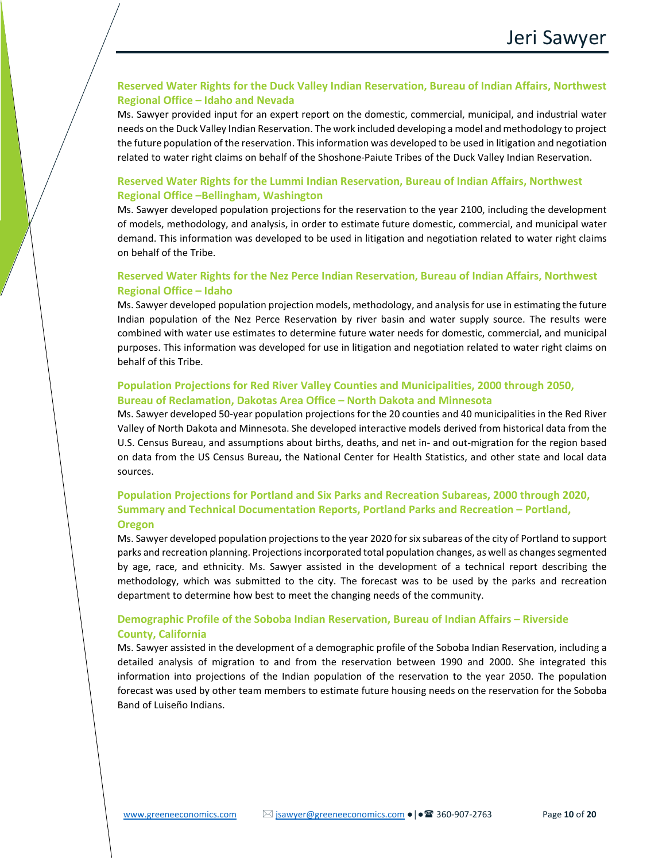## **Reserved Water Rights for the Duck Valley Indian Reservation, Bureau of Indian Affairs, Northwest Regional Office – Idaho and Nevada**

Ms. Sawyer provided input for an expert report on the domestic, commercial, municipal, and industrial water needs on the Duck Valley Indian Reservation. The work included developing a model and methodology to project the future population of the reservation. This information was developed to be used in litigation and negotiation related to water right claims on behalf of the Shoshone-Paiute Tribes of the Duck Valley Indian Reservation.

## **Reserved Water Rights for the Lummi Indian Reservation, Bureau of Indian Affairs, Northwest Regional Office –Bellingham, Washington**

Ms. Sawyer developed population projections for the reservation to the year 2100, including the development of models, methodology, and analysis, in order to estimate future domestic, commercial, and municipal water demand. This information was developed to be used in litigation and negotiation related to water right claims on behalf of the Tribe.

## **Reserved Water Rights for the Nez Perce Indian Reservation, Bureau of Indian Affairs, Northwest Regional Office – Idaho**

Ms. Sawyer developed population projection models, methodology, and analysis for use in estimating the future Indian population of the Nez Perce Reservation by river basin and water supply source. The results were combined with water use estimates to determine future water needs for domestic, commercial, and municipal purposes. This information was developed for use in litigation and negotiation related to water right claims on behalf of this Tribe.

## **Population Projections for Red River Valley Counties and Municipalities, 2000 through 2050, Bureau of Reclamation, Dakotas Area Office – North Dakota and Minnesota**

Ms. Sawyer developed 50-year population projections for the 20 counties and 40 municipalities in the Red River Valley of North Dakota and Minnesota. She developed interactive models derived from historical data from the U.S. Census Bureau, and assumptions about births, deaths, and net in- and out-migration for the region based on data from the US Census Bureau, the National Center for Health Statistics, and other state and local data sources.

## **Population Projections for Portland and Six Parks and Recreation Subareas, 2000 through 2020, Summary and Technical Documentation Reports, Portland Parks and Recreation – Portland, Oregon**

Ms. Sawyer developed population projections to the year 2020 for six subareas of the city of Portland to support parks and recreation planning. Projections incorporated total population changes, as well as changes segmented by age, race, and ethnicity. Ms. Sawyer assisted in the development of a technical report describing the methodology, which was submitted to the city. The forecast was to be used by the parks and recreation department to determine how best to meet the changing needs of the community.

## **Demographic Profile of the Soboba Indian Reservation, Bureau of Indian Affairs – Riverside County, California**

Ms. Sawyer assisted in the development of a demographic profile of the Soboba Indian Reservation, including a detailed analysis of migration to and from the reservation between 1990 and 2000. She integrated this information into projections of the Indian population of the reservation to the year 2050. The population forecast was used by other team members to estimate future housing needs on the reservation for the Soboba Band of Luiseño Indians.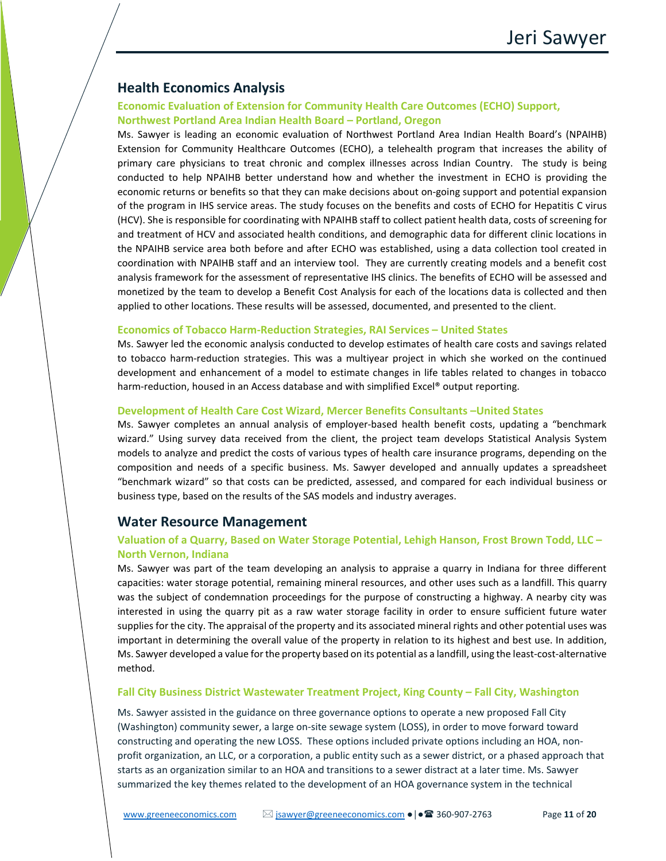# **Health Economics Analysis**

## **Economic Evaluation of Extension for Community Health Care Outcomes (ECHO) Support, Northwest Portland Area Indian Health Board – Portland, Oregon**

Ms. Sawyer is leading an economic evaluation of Northwest Portland Area Indian Health Board's (NPAIHB) Extension for Community Healthcare Outcomes (ECHO), a telehealth program that increases the ability of primary care physicians to treat chronic and complex illnesses across Indian Country. The study is being conducted to help NPAIHB better understand how and whether the investment in ECHO is providing the economic returns or benefits so that they can make decisions about on-going support and potential expansion of the program in IHS service areas. The study focuses on the benefits and costs of ECHO for Hepatitis C virus (HCV). She is responsible for coordinating with NPAIHB staff to collect patient health data, costs of screening for and treatment of HCV and associated health conditions, and demographic data for different clinic locations in the NPAIHB service area both before and after ECHO was established, using a data collection tool created in coordination with NPAIHB staff and an interview tool. They are currently creating models and a benefit cost analysis framework for the assessment of representative IHS clinics. The benefits of ECHO will be assessed and monetized by the team to develop a Benefit Cost Analysis for each of the locations data is collected and then applied to other locations. These results will be assessed, documented, and presented to the client.

#### **Economics of Tobacco Harm-Reduction Strategies, RAI Services – United States**

Ms. Sawyer led the economic analysis conducted to develop estimates of health care costs and savings related to tobacco harm-reduction strategies. This was a multiyear project in which she worked on the continued development and enhancement of a model to estimate changes in life tables related to changes in tobacco harm-reduction, housed in an Access database and with simplified Excel® output reporting.

#### **Development of Health Care Cost Wizard, Mercer Benefits Consultants –United States**

Ms. Sawyer completes an annual analysis of employer-based health benefit costs, updating a "benchmark wizard." Using survey data received from the client, the project team develops Statistical Analysis System models to analyze and predict the costs of various types of health care insurance programs, depending on the composition and needs of a specific business. Ms. Sawyer developed and annually updates a spreadsheet "benchmark wizard" so that costs can be predicted, assessed, and compared for each individual business or business type, based on the results of the SAS models and industry averages.

## **Water Resource Management**

## **Valuation of a Quarry, Based on Water Storage Potential, Lehigh Hanson, Frost Brown Todd, LLC – North Vernon, Indiana**

Ms. Sawyer was part of the team developing an analysis to appraise a quarry in Indiana for three different capacities: water storage potential, remaining mineral resources, and other uses such as a landfill. This quarry was the subject of condemnation proceedings for the purpose of constructing a highway. A nearby city was interested in using the quarry pit as a raw water storage facility in order to ensure sufficient future water supplies for the city. The appraisal of the property and its associated mineral rights and other potential uses was important in determining the overall value of the property in relation to its highest and best use. In addition, Ms. Sawyer developed a value for the property based on its potential as a landfill, using the least-cost-alternative method.

#### **Fall City Business District Wastewater Treatment Project, King County – Fall City, Washington**

Ms. Sawyer assisted in the guidance on three governance options to operate a new proposed Fall City (Washington) community sewer, a large on-site sewage system (LOSS), in order to move forward toward constructing and operating the new LOSS. These options included private options including an HOA, nonprofit organization, an LLC, or a corporation, a public entity such as a sewer district, or a phased approach that starts as an organization similar to an HOA and transitions to a sewer distract at a later time. Ms. Sawyer summarized the key themes related to the development of an HOA governance system in the technical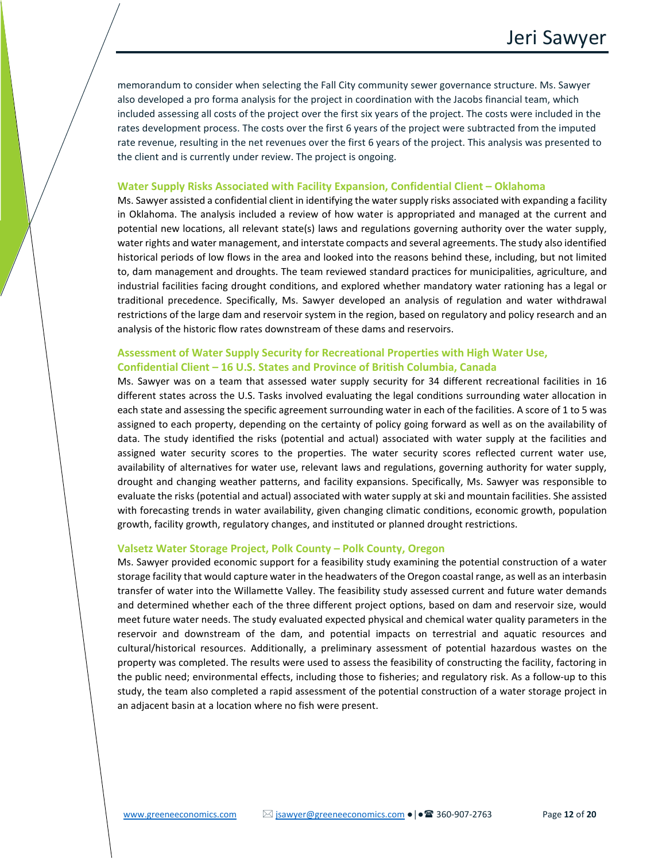memorandum to consider when selecting the Fall City community sewer governance structure. Ms. Sawyer also developed a pro forma analysis for the project in coordination with the Jacobs financial team, which included assessing all costs of the project over the first six years of the project. The costs were included in the rates development process. The costs over the first 6 years of the project were subtracted from the imputed rate revenue, resulting in the net revenues over the first 6 years of the project. This analysis was presented to the client and is currently under review. The project is ongoing.

#### **Water Supply Risks Associated with Facility Expansion, Confidential Client – Oklahoma**

Ms. Sawyer assisted a confidential client in identifying the water supply risks associated with expanding a facility in Oklahoma. The analysis included a review of how water is appropriated and managed at the current and potential new locations, all relevant state(s) laws and regulations governing authority over the water supply, water rights and water management, and interstate compacts and several agreements. The study also identified historical periods of low flows in the area and looked into the reasons behind these, including, but not limited to, dam management and droughts. The team reviewed standard practices for municipalities, agriculture, and industrial facilities facing drought conditions, and explored whether mandatory water rationing has a legal or traditional precedence. Specifically, Ms. Sawyer developed an analysis of regulation and water withdrawal restrictions of the large dam and reservoir system in the region, based on regulatory and policy research and an analysis of the historic flow rates downstream of these dams and reservoirs.

## **Assessment of Water Supply Security for Recreational Properties with High Water Use, Confidential Client – 16 U.S. States and Province of British Columbia, Canada**

Ms. Sawyer was on a team that assessed water supply security for 34 different recreational facilities in 16 different states across the U.S. Tasks involved evaluating the legal conditions surrounding water allocation in each state and assessing the specific agreement surrounding water in each of the facilities. A score of 1 to 5 was assigned to each property, depending on the certainty of policy going forward as well as on the availability of data. The study identified the risks (potential and actual) associated with water supply at the facilities and assigned water security scores to the properties. The water security scores reflected current water use, availability of alternatives for water use, relevant laws and regulations, governing authority for water supply, drought and changing weather patterns, and facility expansions. Specifically, Ms. Sawyer was responsible to evaluate the risks (potential and actual) associated with water supply atski and mountain facilities. She assisted with forecasting trends in water availability, given changing climatic conditions, economic growth, population growth, facility growth, regulatory changes, and instituted or planned drought restrictions.

#### **Valsetz Water Storage Project, Polk County – Polk County, Oregon**

Ms. Sawyer provided economic support for a feasibility study examining the potential construction of a water storage facility that would capture water in the headwaters of the Oregon coastal range, as well as an interbasin transfer of water into the Willamette Valley. The feasibility study assessed current and future water demands and determined whether each of the three different project options, based on dam and reservoir size, would meet future water needs. The study evaluated expected physical and chemical water quality parameters in the reservoir and downstream of the dam, and potential impacts on terrestrial and aquatic resources and cultural/historical resources. Additionally, a preliminary assessment of potential hazardous wastes on the property was completed. The results were used to assess the feasibility of constructing the facility, factoring in the public need; environmental effects, including those to fisheries; and regulatory risk. As a follow-up to this study, the team also completed a rapid assessment of the potential construction of a water storage project in an adjacent basin at a location where no fish were present.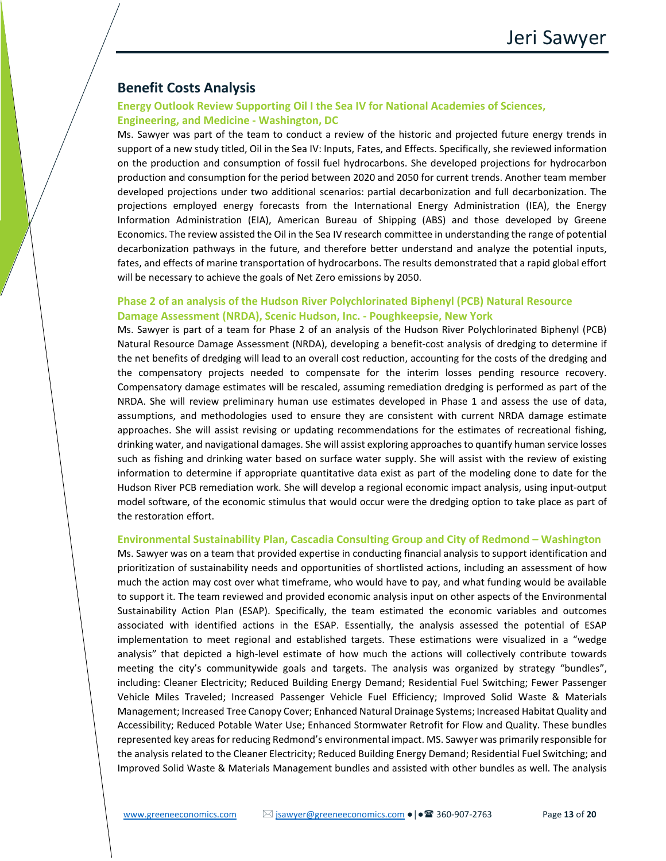# **Benefit Costs Analysis**

## **Energy Outlook Review Supporting Oil I the Sea IV for National Academies of Sciences, Engineering, and Medicine - Washington, DC**

Ms. Sawyer was part of the team to conduct a review of the historic and projected future energy trends in support of a new study titled, Oil in the Sea IV: Inputs, Fates, and Effects. Specifically, she reviewed information on the production and consumption of fossil fuel hydrocarbons. She developed projections for hydrocarbon production and consumption for the period between 2020 and 2050 for current trends. Another team member developed projections under two additional scenarios: partial decarbonization and full decarbonization. The projections employed energy forecasts from the International Energy Administration (IEA), the Energy Information Administration (EIA), American Bureau of Shipping (ABS) and those developed by Greene Economics. The review assisted the Oil in the Sea IV research committee in understanding the range of potential decarbonization pathways in the future, and therefore better understand and analyze the potential inputs, fates, and effects of marine transportation of hydrocarbons. The results demonstrated that a rapid global effort will be necessary to achieve the goals of Net Zero emissions by 2050.

## **Phase 2 of an analysis of the Hudson River Polychlorinated Biphenyl (PCB) Natural Resource Damage Assessment (NRDA), Scenic Hudson, Inc. - Poughkeepsie, New York**

Ms. Sawyer is part of a team for Phase 2 of an analysis of the Hudson River Polychlorinated Biphenyl (PCB) Natural Resource Damage Assessment (NRDA), developing a benefit-cost analysis of dredging to determine if the net benefits of dredging will lead to an overall cost reduction, accounting for the costs of the dredging and the compensatory projects needed to compensate for the interim losses pending resource recovery. Compensatory damage estimates will be rescaled, assuming remediation dredging is performed as part of the NRDA. She will review preliminary human use estimates developed in Phase 1 and assess the use of data, assumptions, and methodologies used to ensure they are consistent with current NRDA damage estimate approaches. She will assist revising or updating recommendations for the estimates of recreational fishing, drinking water, and navigational damages. She will assist exploring approaches to quantify human service losses such as fishing and drinking water based on surface water supply. She will assist with the review of existing information to determine if appropriate quantitative data exist as part of the modeling done to date for the Hudson River PCB remediation work. She will develop a regional economic impact analysis, using input-output model software, of the economic stimulus that would occur were the dredging option to take place as part of the restoration effort.

#### **Environmental Sustainability Plan, Cascadia Consulting Group and City of Redmond – Washington**

Ms. Sawyer was on a team that provided expertise in conducting financial analysis to support identification and prioritization of sustainability needs and opportunities of shortlisted actions, including an assessment of how much the action may cost over what timeframe, who would have to pay, and what funding would be available to support it. The team reviewed and provided economic analysis input on other aspects of the Environmental Sustainability Action Plan (ESAP). Specifically, the team estimated the economic variables and outcomes associated with identified actions in the ESAP. Essentially, the analysis assessed the potential of ESAP implementation to meet regional and established targets. These estimations were visualized in a "wedge analysis" that depicted a high-level estimate of how much the actions will collectively contribute towards meeting the city's communitywide goals and targets. The analysis was organized by strategy "bundles", including: Cleaner Electricity; Reduced Building Energy Demand; Residential Fuel Switching; Fewer Passenger Vehicle Miles Traveled; Increased Passenger Vehicle Fuel Efficiency; Improved Solid Waste & Materials Management; Increased Tree Canopy Cover; Enhanced Natural Drainage Systems; Increased Habitat Quality and Accessibility; Reduced Potable Water Use; Enhanced Stormwater Retrofit for Flow and Quality. These bundles represented key areas for reducing Redmond's environmental impact. MS. Sawyer was primarily responsible for the analysis related to the Cleaner Electricity; Reduced Building Energy Demand; Residential Fuel Switching; and Improved Solid Waste & Materials Management bundles and assisted with other bundles as well. The analysis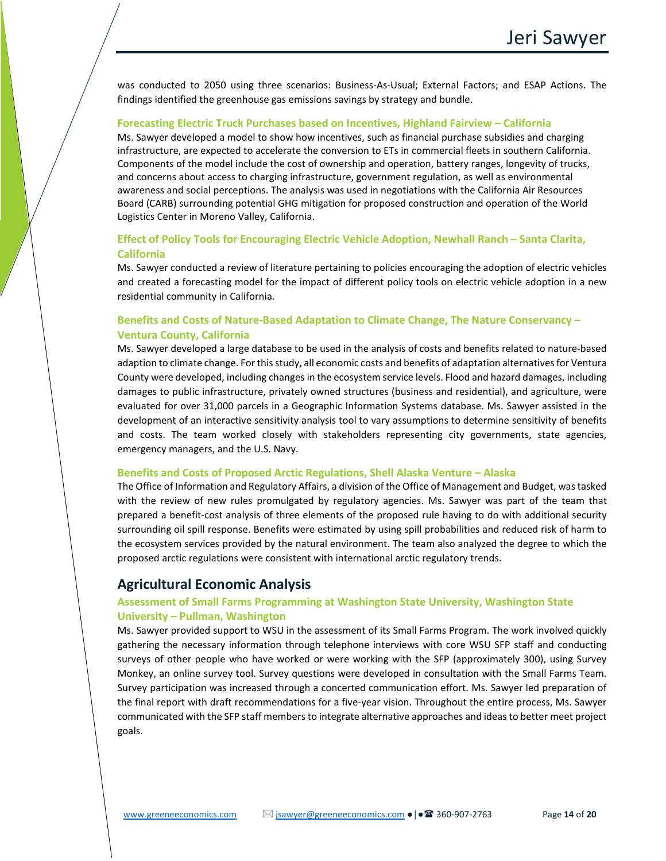was conducted to 2050 using three scenarios: Business-As-Usual; External Factors; and ESAP Actions. The findings identified the greenhouse gas emissions savings by strategy and bundle.

#### **Forecasting Electric Truck Purchases based on Incentives, Highland Fairview – California**

Ms. Sawyer developed a model to show how incentives, such as financial purchase subsidies and charging infrastructure, are expected to accelerate the conversion to ETs in commercial fleets in southern California. Components of the model include the cost of ownership and operation, battery ranges, longevity of trucks, and concerns about access to charging infrastructure, government regulation, as well as environmental awareness and social perceptions. The analysis was used in negotiations with the California Air Resources Board (CARB) surrounding potential GHG mitigation for proposed construction and operation of the World Logistics Center in Moreno Valley, California.

## **Effect of Policy Tools for Encouraging Electric Vehicle Adoption, Newhall Ranch – Santa Clarita, California**

Ms. Sawyer conducted a review of literature pertaining to policies encouraging the adoption of electric vehicles and created a forecasting model for the impact of different policy tools on electric vehicle adoption in a new residential community in California.

## **Benefits and Costs of Nature-Based Adaptation to Climate Change, The Nature Conservancy – Ventura County, California**

Ms. Sawyer developed a large database to be used in the analysis of costs and benefits related to nature-based adaption to climate change. For this study, all economic costs and benefits of adaptation alternatives for Ventura County were developed, including changes in the ecosystem service levels. Flood and hazard damages, including damages to public infrastructure, privately owned structures (business and residential), and agriculture, were evaluated for over 31,000 parcels in a Geographic Information Systems database. Ms. Sawyer assisted in the development of an interactive sensitivity analysis tool to vary assumptions to determine sensitivity of benefits and costs. The team worked closely with stakeholders representing city governments, state agencies, emergency managers, and the U.S. Navy.

#### **Benefits and Costs of Proposed Arctic Regulations, Shell Alaska Venture – Alaska**

The Office of Information and Regulatory Affairs, a division of the Office of Management and Budget, was tasked with the review of new rules promulgated by regulatory agencies. Ms. Sawyer was part of the team that prepared a benefit-cost analysis of three elements of the proposed rule having to do with additional security surrounding oil spill response. Benefits were estimated by using spill probabilities and reduced risk of harm to the ecosystem services provided by the natural environment. The team also analyzed the degree to which the proposed arctic regulations were consistent with international arctic regulatory trends.

## **Agricultural Economic Analysis**

## **Assessment of Small Farms Programming at Washington State University, Washington State University – Pullman, Washington**

Ms. Sawyer provided support to WSU in the assessment of its Small Farms Program. The work involved quickly gathering the necessary information through telephone interviews with core WSU SFP staff and conducting surveys of other people who have worked or were working with the SFP (approximately 300), using Survey Monkey, an online survey tool. Survey questions were developed in consultation with the Small Farms Team. Survey participation was increased through a concerted communication effort. Ms. Sawyer led preparation of the final report with draft recommendations for a five-year vision. Throughout the entire process, Ms. Sawyer communicated with the SFP staff members to integrate alternative approaches and ideas to better meet project goals.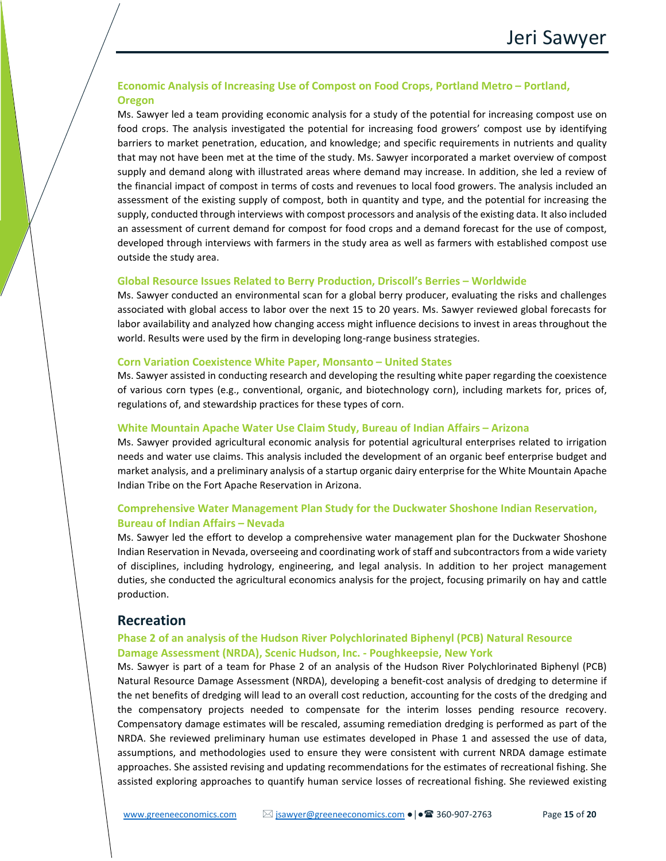## **Economic Analysis of Increasing Use of Compost on Food Crops, Portland Metro – Portland, Oregon**

Ms. Sawyer led a team providing economic analysis for a study of the potential for increasing compost use on food crops. The analysis investigated the potential for increasing food growers' compost use by identifying barriers to market penetration, education, and knowledge; and specific requirements in nutrients and quality that may not have been met at the time of the study. Ms. Sawyer incorporated a market overview of compost supply and demand along with illustrated areas where demand may increase. In addition, she led a review of the financial impact of compost in terms of costs and revenues to local food growers. The analysis included an assessment of the existing supply of compost, both in quantity and type, and the potential for increasing the supply, conducted through interviews with compost processors and analysis of the existing data. It also included an assessment of current demand for compost for food crops and a demand forecast for the use of compost, developed through interviews with farmers in the study area as well as farmers with established compost use outside the study area.

#### **Global Resource Issues Related to Berry Production, Driscoll's Berries – Worldwide**

Ms. Sawyer conducted an environmental scan for a global berry producer, evaluating the risks and challenges associated with global access to labor over the next 15 to 20 years. Ms. Sawyer reviewed global forecasts for labor availability and analyzed how changing access might influence decisions to invest in areas throughout the world. Results were used by the firm in developing long-range business strategies.

#### **Corn Variation Coexistence White Paper, Monsanto – United States**

Ms. Sawyer assisted in conducting research and developing the resulting white paper regarding the coexistence of various corn types (e.g., conventional, organic, and biotechnology corn), including markets for, prices of, regulations of, and stewardship practices for these types of corn.

#### **White Mountain Apache Water Use Claim Study, Bureau of Indian Affairs – Arizona**

Ms. Sawyer provided agricultural economic analysis for potential agricultural enterprises related to irrigation needs and water use claims. This analysis included the development of an organic beef enterprise budget and market analysis, and a preliminary analysis of a startup organic dairy enterprise for the White Mountain Apache Indian Tribe on the Fort Apache Reservation in Arizona.

## **Comprehensive Water Management Plan Study for the Duckwater Shoshone Indian Reservation, Bureau of Indian Affairs – Nevada**

Ms. Sawyer led the effort to develop a comprehensive water management plan for the Duckwater Shoshone Indian Reservation in Nevada, overseeing and coordinating work of staff and subcontractors from a wide variety of disciplines, including hydrology, engineering, and legal analysis. In addition to her project management duties, she conducted the agricultural economics analysis for the project, focusing primarily on hay and cattle production.

## **Recreation**

## **Phase 2 of an analysis of the Hudson River Polychlorinated Biphenyl (PCB) Natural Resource Damage Assessment (NRDA), Scenic Hudson, Inc. - Poughkeepsie, New York**

Ms. Sawyer is part of a team for Phase 2 of an analysis of the Hudson River Polychlorinated Biphenyl (PCB) Natural Resource Damage Assessment (NRDA), developing a benefit-cost analysis of dredging to determine if the net benefits of dredging will lead to an overall cost reduction, accounting for the costs of the dredging and the compensatory projects needed to compensate for the interim losses pending resource recovery. Compensatory damage estimates will be rescaled, assuming remediation dredging is performed as part of the NRDA. She reviewed preliminary human use estimates developed in Phase 1 and assessed the use of data, assumptions, and methodologies used to ensure they were consistent with current NRDA damage estimate approaches. She assisted revising and updating recommendations for the estimates of recreational fishing. She assisted exploring approaches to quantify human service losses of recreational fishing. She reviewed existing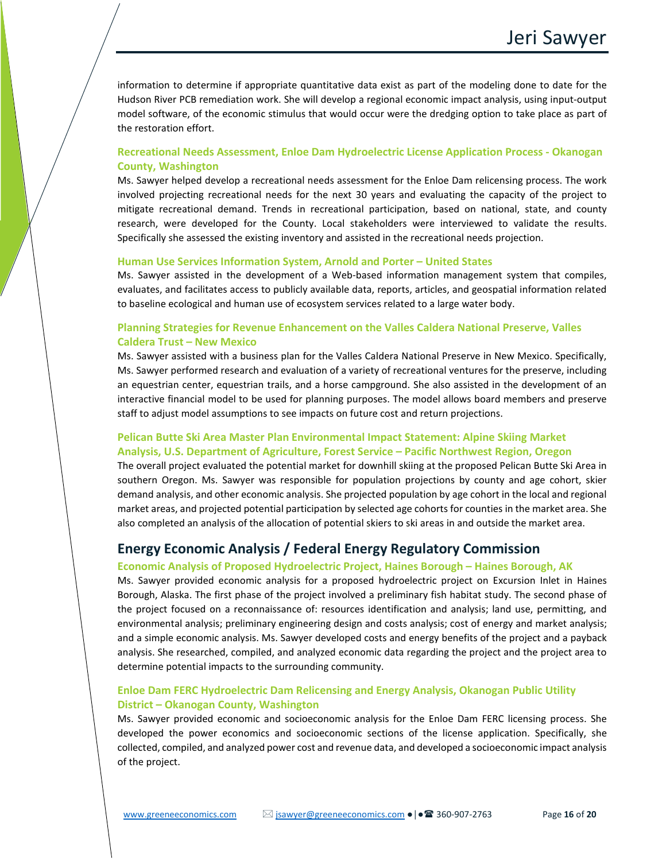information to determine if appropriate quantitative data exist as part of the modeling done to date for the Hudson River PCB remediation work. She will develop a regional economic impact analysis, using input-output model software, of the economic stimulus that would occur were the dredging option to take place as part of the restoration effort.

## **Recreational Needs Assessment, Enloe Dam Hydroelectric License Application Process - Okanogan County, Washington**

Ms. Sawyer helped develop a recreational needs assessment for the Enloe Dam relicensing process. The work involved projecting recreational needs for the next 30 years and evaluating the capacity of the project to mitigate recreational demand. Trends in recreational participation, based on national, state, and county research, were developed for the County. Local stakeholders were interviewed to validate the results. Specifically she assessed the existing inventory and assisted in the recreational needs projection.

#### **Human Use Services Information System, Arnold and Porter – United States**

Ms. Sawyer assisted in the development of a Web-based information management system that compiles, evaluates, and facilitates access to publicly available data, reports, articles, and geospatial information related to baseline ecological and human use of ecosystem services related to a large water body.

## **Planning Strategies for Revenue Enhancement on the Valles Caldera National Preserve, Valles Caldera Trust – New Mexico**

Ms. Sawyer assisted with a business plan for the Valles Caldera National Preserve in New Mexico. Specifically, Ms. Sawyer performed research and evaluation of a variety of recreational ventures for the preserve, including an equestrian center, equestrian trails, and a horse campground. She also assisted in the development of an interactive financial model to be used for planning purposes. The model allows board members and preserve staff to adjust model assumptions to see impacts on future cost and return projections.

## **Pelican Butte Ski Area Master Plan Environmental Impact Statement: Alpine Skiing Market Analysis, U.S. Department of Agriculture, Forest Service – Pacific Northwest Region, Oregon**

The overall project evaluated the potential market for downhill skiing at the proposed Pelican Butte Ski Area in southern Oregon. Ms. Sawyer was responsible for population projections by county and age cohort, skier demand analysis, and other economic analysis. She projected population by age cohort in the local and regional market areas, and projected potential participation by selected age cohorts for counties in the market area. She also completed an analysis of the allocation of potential skiers to ski areas in and outside the market area.

## **Energy Economic Analysis / Federal Energy Regulatory Commission**

#### **Economic Analysis of Proposed Hydroelectric Project, Haines Borough – Haines Borough, AK**

Ms. Sawyer provided economic analysis for a proposed hydroelectric project on Excursion Inlet in Haines Borough, Alaska. The first phase of the project involved a preliminary fish habitat study. The second phase of the project focused on a reconnaissance of: resources identification and analysis; land use, permitting, and environmental analysis; preliminary engineering design and costs analysis; cost of energy and market analysis; and a simple economic analysis. Ms. Sawyer developed costs and energy benefits of the project and a payback analysis. She researched, compiled, and analyzed economic data regarding the project and the project area to determine potential impacts to the surrounding community.

## **Enloe Dam FERC Hydroelectric Dam Relicensing and Energy Analysis, Okanogan Public Utility District – Okanogan County, Washington**

Ms. Sawyer provided economic and socioeconomic analysis for the Enloe Dam FERC licensing process. She developed the power economics and socioeconomic sections of the license application. Specifically, she collected, compiled, and analyzed power cost and revenue data, and developed a socioeconomic impact analysis of the project.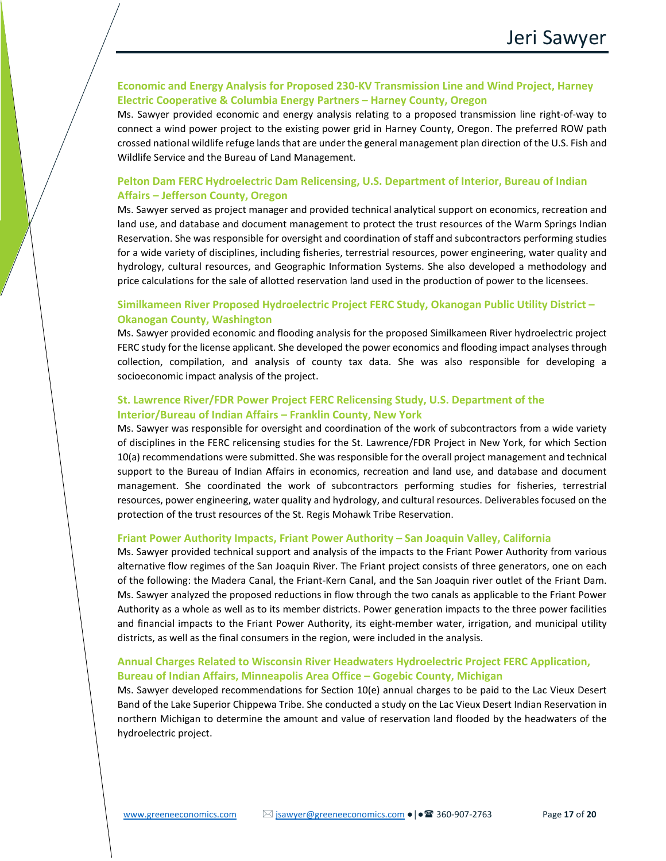## **Economic and Energy Analysis for Proposed 230-KV Transmission Line and Wind Project, Harney Electric Cooperative & Columbia Energy Partners – Harney County, Oregon**

Ms. Sawyer provided economic and energy analysis relating to a proposed transmission line right-of-way to connect a wind power project to the existing power grid in Harney County, Oregon. The preferred ROW path crossed national wildlife refuge lands that are under the general management plan direction of the U.S. Fish and Wildlife Service and the Bureau of Land Management.

## **Pelton Dam FERC Hydroelectric Dam Relicensing, U.S. Department of Interior, Bureau of Indian Affairs – Jefferson County, Oregon**

Ms. Sawyer served as project manager and provided technical analytical support on economics, recreation and land use, and database and document management to protect the trust resources of the Warm Springs Indian Reservation. She was responsible for oversight and coordination of staff and subcontractors performing studies for a wide variety of disciplines, including fisheries, terrestrial resources, power engineering, water quality and hydrology, cultural resources, and Geographic Information Systems. She also developed a methodology and price calculations for the sale of allotted reservation land used in the production of power to the licensees.

## **Similkameen River Proposed Hydroelectric Project FERC Study, Okanogan Public Utility District – Okanogan County, Washington**

Ms. Sawyer provided economic and flooding analysis for the proposed Similkameen River hydroelectric project FERC study for the license applicant. She developed the power economics and flooding impact analyses through collection, compilation, and analysis of county tax data. She was also responsible for developing a socioeconomic impact analysis of the project.

## **St. Lawrence River/FDR Power Project FERC Relicensing Study, U.S. Department of the Interior/Bureau of Indian Affairs – Franklin County, New York**

Ms. Sawyer was responsible for oversight and coordination of the work of subcontractors from a wide variety of disciplines in the FERC relicensing studies for the St. Lawrence/FDR Project in New York, for which Section 10(a) recommendations were submitted. She was responsible for the overall project management and technical support to the Bureau of Indian Affairs in economics, recreation and land use, and database and document management. She coordinated the work of subcontractors performing studies for fisheries, terrestrial resources, power engineering, water quality and hydrology, and cultural resources. Deliverables focused on the protection of the trust resources of the St. Regis Mohawk Tribe Reservation.

#### **Friant Power Authority Impacts, Friant Power Authority – San Joaquin Valley, California**

Ms. Sawyer provided technical support and analysis of the impacts to the Friant Power Authority from various alternative flow regimes of the San Joaquin River. The Friant project consists of three generators, one on each of the following: the Madera Canal, the Friant-Kern Canal, and the San Joaquin river outlet of the Friant Dam. Ms. Sawyer analyzed the proposed reductions in flow through the two canals as applicable to the Friant Power Authority as a whole as well as to its member districts. Power generation impacts to the three power facilities and financial impacts to the Friant Power Authority, its eight-member water, irrigation, and municipal utility districts, as well as the final consumers in the region, were included in the analysis.

## **Annual Charges Related to Wisconsin River Headwaters Hydroelectric Project FERC Application, Bureau of Indian Affairs, Minneapolis Area Office – Gogebic County, Michigan**

Ms. Sawyer developed recommendations for Section 10(e) annual charges to be paid to the Lac Vieux Desert Band of the Lake Superior Chippewa Tribe. She conducted a study on the Lac Vieux Desert Indian Reservation in northern Michigan to determine the amount and value of reservation land flooded by the headwaters of the hydroelectric project.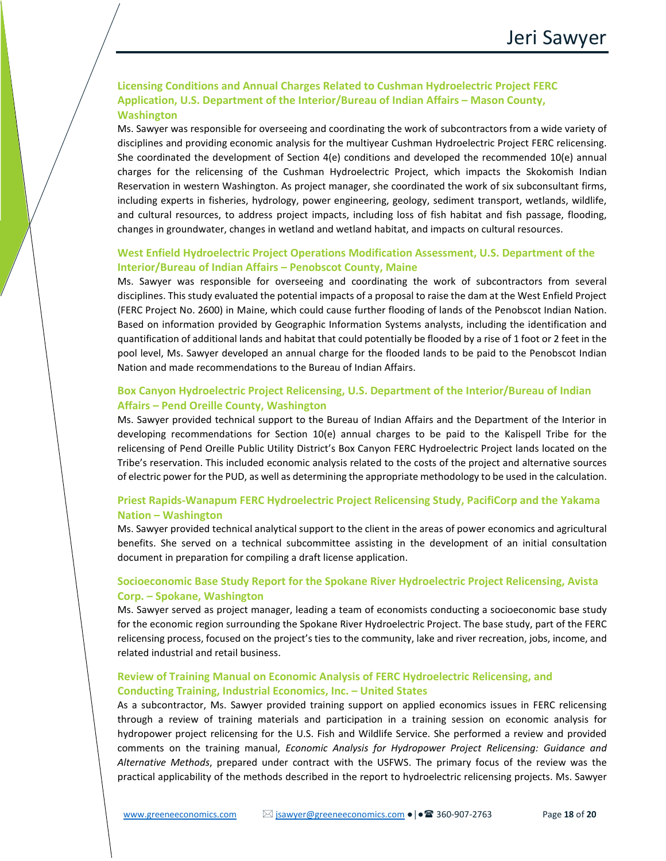## **Licensing Conditions and Annual Charges Related to Cushman Hydroelectric Project FERC Application, U.S. Department of the Interior/Bureau of Indian Affairs – Mason County, Washington**

Ms. Sawyer was responsible for overseeing and coordinating the work of subcontractors from a wide variety of disciplines and providing economic analysis for the multiyear Cushman Hydroelectric Project FERC relicensing. She coordinated the development of Section 4(e) conditions and developed the recommended 10(e) annual charges for the relicensing of the Cushman Hydroelectric Project, which impacts the Skokomish Indian Reservation in western Washington. As project manager, she coordinated the work of six subconsultant firms, including experts in fisheries, hydrology, power engineering, geology, sediment transport, wetlands, wildlife, and cultural resources, to address project impacts, including loss of fish habitat and fish passage, flooding, changes in groundwater, changes in wetland and wetland habitat, and impacts on cultural resources.

## **West Enfield Hydroelectric Project Operations Modification Assessment, U.S. Department of the Interior/Bureau of Indian Affairs – Penobscot County, Maine**

Ms. Sawyer was responsible for overseeing and coordinating the work of subcontractors from several disciplines. This study evaluated the potential impacts of a proposal to raise the dam at the West Enfield Project (FERC Project No. 2600) in Maine, which could cause further flooding of lands of the Penobscot Indian Nation. Based on information provided by Geographic Information Systems analysts, including the identification and quantification of additional lands and habitat that could potentially be flooded by a rise of 1 foot or 2 feet in the pool level, Ms. Sawyer developed an annual charge for the flooded lands to be paid to the Penobscot Indian Nation and made recommendations to the Bureau of Indian Affairs.

## **Box Canyon Hydroelectric Project Relicensing, U.S. Department of the Interior/Bureau of Indian Affairs – Pend Oreille County, Washington**

Ms. Sawyer provided technical support to the Bureau of Indian Affairs and the Department of the Interior in developing recommendations for Section 10(e) annual charges to be paid to the Kalispell Tribe for the relicensing of Pend Oreille Public Utility District's Box Canyon FERC Hydroelectric Project lands located on the Tribe's reservation. This included economic analysis related to the costs of the project and alternative sources of electric power for the PUD, as well as determining the appropriate methodology to be used in the calculation.

## **Priest Rapids-Wanapum FERC Hydroelectric Project Relicensing Study, PacifiCorp and the Yakama Nation – Washington**

Ms. Sawyer provided technical analytical support to the client in the areas of power economics and agricultural benefits. She served on a technical subcommittee assisting in the development of an initial consultation document in preparation for compiling a draft license application.

## **Socioeconomic Base Study Report for the Spokane River Hydroelectric Project Relicensing, Avista Corp. – Spokane, Washington**

Ms. Sawyer served as project manager, leading a team of economists conducting a socioeconomic base study for the economic region surrounding the Spokane River Hydroelectric Project. The base study, part of the FERC relicensing process, focused on the project's ties to the community, lake and river recreation, jobs, income, and related industrial and retail business.

## **Review of Training Manual on Economic Analysis of FERC Hydroelectric Relicensing, and Conducting Training, Industrial Economics, Inc. – United States**

As a subcontractor, Ms. Sawyer provided training support on applied economics issues in FERC relicensing through a review of training materials and participation in a training session on economic analysis for hydropower project relicensing for the U.S. Fish and Wildlife Service. She performed a review and provided comments on the training manual, *Economic Analysis for Hydropower Project Relicensing: Guidance and Alternative Methods*, prepared under contract with the USFWS. The primary focus of the review was the practical applicability of the methods described in the report to hydroelectric relicensing projects. Ms. Sawyer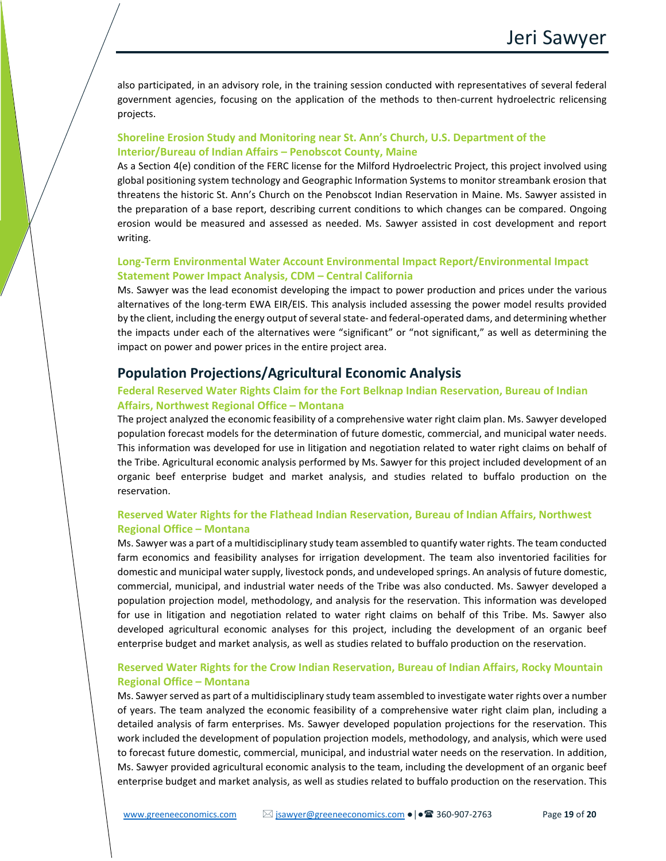also participated, in an advisory role, in the training session conducted with representatives of several federal government agencies, focusing on the application of the methods to then-current hydroelectric relicensing projects.

## **Shoreline Erosion Study and Monitoring near St. Ann's Church, U.S. Department of the Interior/Bureau of Indian Affairs – Penobscot County, Maine**

As a Section 4(e) condition of the FERC license for the Milford Hydroelectric Project, this project involved using global positioning system technology and Geographic Information Systems to monitor streambank erosion that threatens the historic St. Ann's Church on the Penobscot Indian Reservation in Maine. Ms. Sawyer assisted in the preparation of a base report, describing current conditions to which changes can be compared. Ongoing erosion would be measured and assessed as needed. Ms. Sawyer assisted in cost development and report writing.

## **Long-Term Environmental Water Account Environmental Impact Report/Environmental Impact Statement Power Impact Analysis, CDM – Central California**

Ms. Sawyer was the lead economist developing the impact to power production and prices under the various alternatives of the long-term EWA EIR/EIS. This analysis included assessing the power model results provided by the client, including the energy output of several state- and federal-operated dams, and determining whether the impacts under each of the alternatives were "significant" or "not significant," as well as determining the impact on power and power prices in the entire project area.

# **Population Projections/Agricultural Economic Analysis**

## **Federal Reserved Water Rights Claim for the Fort Belknap Indian Reservation, Bureau of Indian Affairs, Northwest Regional Office – Montana**

The project analyzed the economic feasibility of a comprehensive water right claim plan. Ms. Sawyer developed population forecast models for the determination of future domestic, commercial, and municipal water needs. This information was developed for use in litigation and negotiation related to water right claims on behalf of the Tribe. Agricultural economic analysis performed by Ms. Sawyer for this project included development of an organic beef enterprise budget and market analysis, and studies related to buffalo production on the reservation.

## **Reserved Water Rights for the Flathead Indian Reservation, Bureau of Indian Affairs, Northwest Regional Office – Montana**

Ms. Sawyer was a part of a multidisciplinary study team assembled to quantify water rights. The team conducted farm economics and feasibility analyses for irrigation development. The team also inventoried facilities for domestic and municipal water supply, livestock ponds, and undeveloped springs. An analysis of future domestic, commercial, municipal, and industrial water needs of the Tribe was also conducted. Ms. Sawyer developed a population projection model, methodology, and analysis for the reservation. This information was developed for use in litigation and negotiation related to water right claims on behalf of this Tribe. Ms. Sawyer also developed agricultural economic analyses for this project, including the development of an organic beef enterprise budget and market analysis, as well as studies related to buffalo production on the reservation.

## **Reserved Water Rights for the Crow Indian Reservation, Bureau of Indian Affairs, Rocky Mountain Regional Office – Montana**

Ms. Sawyer served as part of a multidisciplinary study team assembled to investigate water rights over a number of years. The team analyzed the economic feasibility of a comprehensive water right claim plan, including a detailed analysis of farm enterprises. Ms. Sawyer developed population projections for the reservation. This work included the development of population projection models, methodology, and analysis, which were used to forecast future domestic, commercial, municipal, and industrial water needs on the reservation. In addition, Ms. Sawyer provided agricultural economic analysis to the team, including the development of an organic beef enterprise budget and market analysis, as well as studies related to buffalo production on the reservation. This